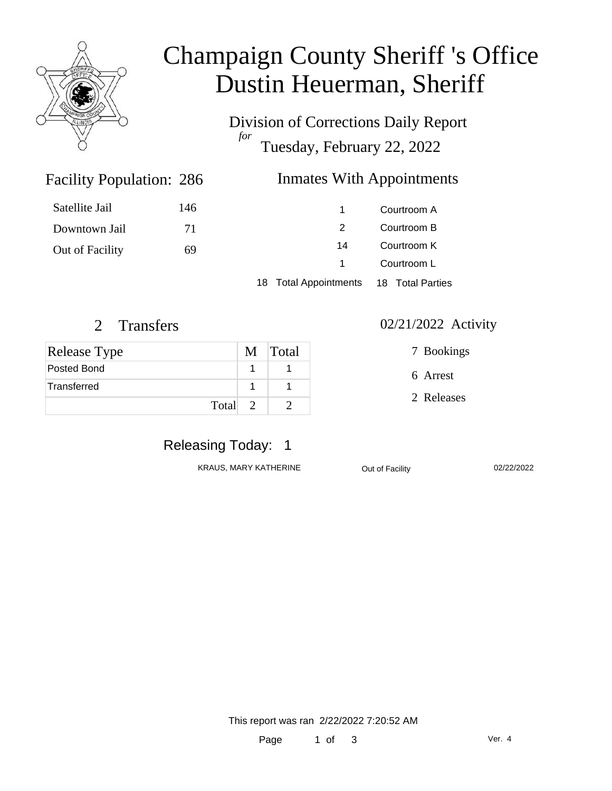

# Champaign County Sheriff 's Office Dustin Heuerman, Sheriff

Division of Corrections Daily Report *for* Tuesday, February 22, 2022

18 Total Appointments 18 Total Parties

### Inmates With Appointments

 Courtroom A Courtroom B Courtroom K Courtroom L

|                       | Satellite Jail | 146 |  |
|-----------------------|----------------|-----|--|
|                       | Downtown Jail  | 71  |  |
| Out of Facility<br>69 |                |     |  |

Facility Population: 286

| <b>Release Type</b> | M Total |
|---------------------|---------|
| Posted Bond         |         |
| Transferred         |         |
| Total 2             |         |

#### 2 Transfers 02/21/2022 Activity

7 Bookings

6 Arrest

2 Releases

# Releasing Today: 1

KRAUS, MARY KATHERINE **Out of Facility** 02/22/2022

This report was ran 2/22/2022 7:20:52 AM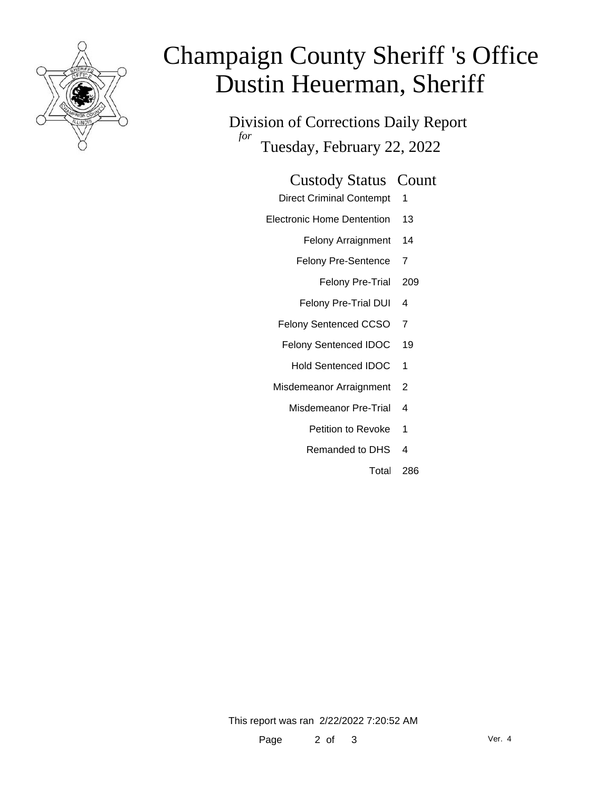

# Champaign County Sheriff 's Office Dustin Heuerman, Sheriff

Division of Corrections Daily Report *for* Tuesday, February 22, 2022

#### Custody Status Count

- Direct Criminal Contempt 1
- Electronic Home Dentention 13
	- Felony Arraignment 14
	- Felony Pre-Sentence 7
		- Felony Pre-Trial 209
	- Felony Pre-Trial DUI 4
	- Felony Sentenced CCSO 7
	- Felony Sentenced IDOC 19
		- Hold Sentenced IDOC 1
	- Misdemeanor Arraignment 2
		- Misdemeanor Pre-Trial 4
			- Petition to Revoke 1
			- Remanded to DHS 4
				- Total 286

This report was ran 2/22/2022 7:20:52 AM